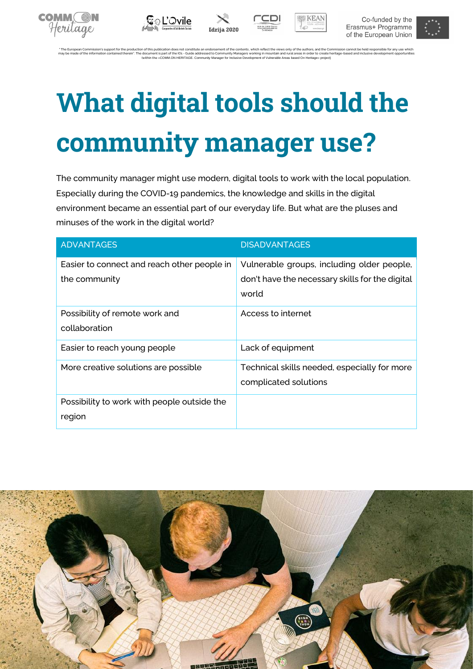









\* The European Commission's support for the production of this publication does not constitute an endorsement of the contents, which reflect the views only of the authors, and the Commission cannot be held responsible for may be made of the information contained therein". The document is part of the IO1 - Guide addressed to Community Managers working in mountain and rural areas in order to create heritage-based and inclusive development opp (within the »COMM.ON HERITAGE. Community Manager for Inclusive Development of Vulnerable Areas based On Heritage« project)

# **What digital tools should the community manager use?**

The community manager might use modern, digital tools to work with the local population. Especially during the COVID-19 pandemics, the knowledge and skills in the digital environment became an essential part of our everyday life. But what are the pluses and minuses of the work in the digital world?

| <b>ADVANTAGES</b>                                            | <b>DISADVANTAGES</b>                                                                                   |
|--------------------------------------------------------------|--------------------------------------------------------------------------------------------------------|
| Easier to connect and reach other people in<br>the community | Vulnerable groups, including older people,<br>don't have the necessary skills for the digital<br>world |
| Possibility of remote work and<br>collaboration              | Access to internet                                                                                     |
| Easier to reach young people                                 | Lack of equipment                                                                                      |
| More creative solutions are possible                         | Technical skills needed, especially for more<br>complicated solutions                                  |
| Possibility to work with people outside the<br>region        |                                                                                                        |

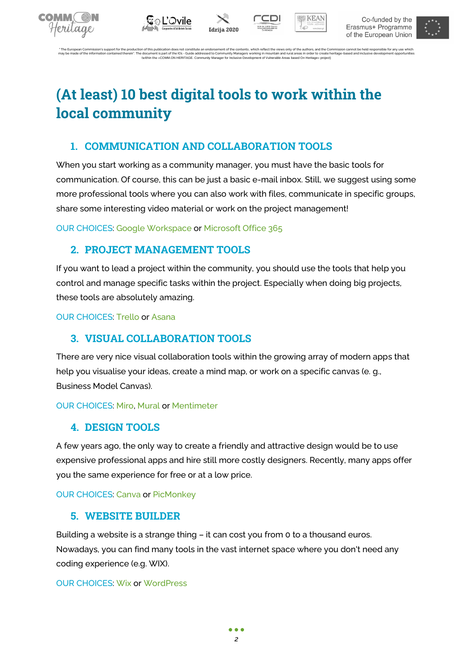









nt of the contents, which reflect the views only of the authors, and the Commission cannot be held responsible for any use which<br>nunity Managers working in mountain and rural areas in order to create heritage-based and inc may be made of the information contained therein". The document is part of the IO1 - Guide addressed to Community Managers working in mountain and rural areas in order to create heritage-based and inclusive development opp

# **(At least) 10 best digital tools to work within the local community**

# **1. COMMUNICATION AND COLLABORATION TOOLS**

When you start working as a community manager, you must have the basic tools for communication. Of course, this can be just a basic e-mail inbox. Still, we suggest using some more professional tools where you can also work with files, communicate in specific groups, share some interesting video material or work on the project management!

OUR CHOICES: Google [Workspace](https://workspace.google.com/intl/en_ie/) o[r Microsoft Office 365](https://www.office.com/)

# **2. PROJECT MANAGEMENT TOOLS**

If you want to lead a project within the community, you should use the tools that help you control and manage specific tasks within the project. Especially when doing big projects, these tools are absolutely amazing.

OUR CHOICES: [Trello](https://trello.com/) or [Asana](https://asana.com/)

# **3. VISUAL COLLABORATION TOOLS**

There are very nice visual collaboration tools within the growing array of modern apps that help you visualise your ideas, create a mind map, or work on a specific canvas (e. g., Business Model Canvas).

#### OUR CHOICES: [Miro,](https://miro.com/) [Mural](https://www.mural.co/) o[r Mentimeter](https://www.mentimeter.com/)

# **4. DESIGN TOOLS**

A few years ago, the only way to create a friendly and attractive design would be to use expensive professional apps and hire still more costly designers. Recently, many apps offer you the same experience for free or at a low price.

OUR CHOICES: [Canva](https://www.canva.com/) or [PicMonkey](https://www.picmonkey.com/)

# **5. WEBSITE BUILDER**

Building a website is a strange thing – it can cost you from 0 to a thousand euros. Nowadays, you can find many tools in the vast internet space where you don't need any coding experience (e.g. WIX).

#### OUR CHOICES: [Wix](https://www.wix.com/) o[r WordPress](https://wordpress.org/)

 $• • •$ *2*